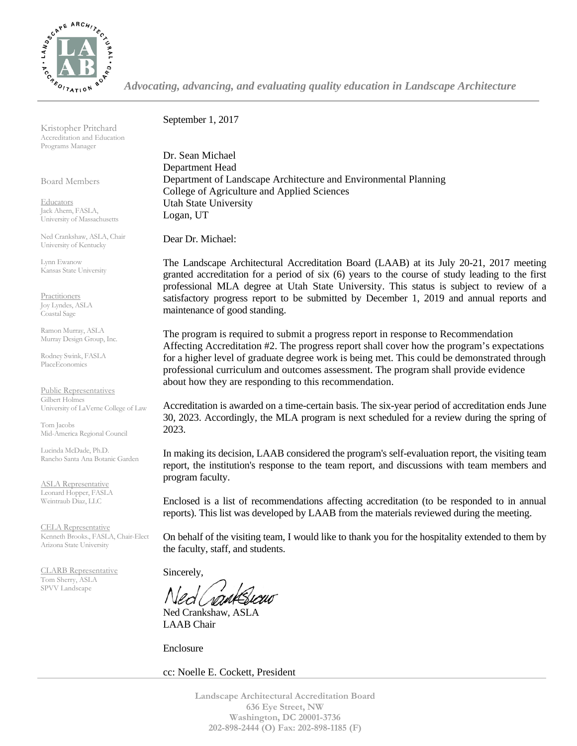

*Advocating, advancing, and evaluating quality education in Landscape Architecture*

Kristopher Pritchard Accreditation and Education Programs Manager

Board Members

**Educators** Jack Ahern, FASLA, University of Massachusetts

Ned Crankshaw, ASLA, Chair University of Kentucky

Lynn Ewanow Kansas State University

**Practitioners** Joy Lyndes, ASLA Coastal Sage

Ramon Murray, ASLA Murray Design Group, Inc.

Rodney Swink, FASLA PlaceEconomics

Public Representatives Gilbert Holmes University of LaVerne College of Law

Tom Jacobs Mid-America Regional Council

Lucinda McDade, Ph.D. Rancho Santa Ana Botanic Garden

ASLA Representative Leonard Hopper, FASLA Weintraub Diaz, LLC

CELA Representative Kenneth Brooks., FASLA, Chair-Elect Arizona State University

CLARB Representative Tom Sherry, ASLA SPVV Landscape

September 1, 2017

Dr. Sean Michael Department Head Department of Landscape Architecture and Environmental Planning College of Agriculture and Applied Sciences Utah State University Logan, UT

Dear Dr. Michael:

The Landscape Architectural Accreditation Board (LAAB) at its July 20-21, 2017 meeting granted accreditation for a period of six (6) years to the course of study leading to the first professional MLA degree at Utah State University. This status is subject to review of a satisfactory progress report to be submitted by December 1, 2019 and annual reports and maintenance of good standing.

The program is required to submit a progress report in response to Recommendation Affecting Accreditation #2. The progress report shall cover how the program's expectations for a higher level of graduate degree work is being met. This could be demonstrated through professional curriculum and outcomes assessment. The program shall provide evidence about how they are responding to this recommendation.

Accreditation is awarded on a time-certain basis. The six-year period of accreditation ends June 30, 2023. Accordingly, the MLA program is next scheduled for a review during the spring of 2023.

In making its decision, LAAB considered the program's self-evaluation report, the visiting team report, the institution's response to the team report, and discussions with team members and program faculty.

Enclosed is a list of recommendations affecting accreditation (to be responded to in annual reports). This list was developed by LAAB from the materials reviewed during the meeting.

On behalf of the visiting team, I would like to thank you for the hospitality extended to them by the faculty, staff, and students.

Sincerely,

Ned Crankshaw, ASLA LAAB Chair

Enclosure

cc: Noelle E. Cockett, President